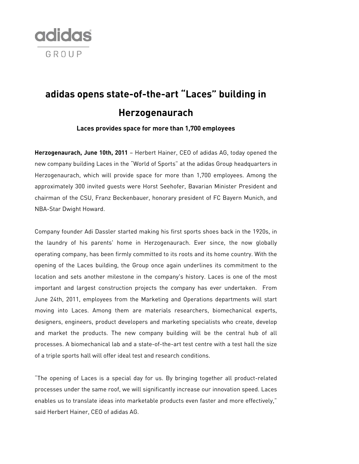

## **adidas opens state-of-the-art "Laces" building in Herzogenaurach**

**Laces provides space for more than 1,700 employees** 

**Herzogenaurach, June 10th, 2011** – Herbert Hainer, CEO of adidas AG, today opened the new company building Laces in the "World of Sports" at the adidas Group headquarters in Herzogenaurach, which will provide space for more than 1,700 employees. Among the approximately 300 invited guests were Horst Seehofer, Bavarian Minister President and chairman of the CSU, Franz Beckenbauer, honorary president of FC Bayern Munich, and NBA-Star Dwight Howard.

Company founder Adi Dassler started making his first sports shoes back in the 1920s, in the laundry of his parents' home in Herzogenaurach. Ever since, the now globally operating company, has been firmly committed to its roots and its home country. With the opening of the Laces building, the Group once again underlines its commitment to the location and sets another milestone in the company's history. Laces is one of the most important and largest construction projects the company has ever undertaken. From June 24th, 2011, employees from the Marketing and Operations departments will start moving into Laces. Among them are materials researchers, biomechanical experts, designers, engineers, product developers and marketing specialists who create, develop and market the products. The new company building will be the central hub of all processes. A biomechanical lab and a state-of-the-art test centre with a test hall the size of a triple sports hall will offer ideal test and research conditions.

"The opening of Laces is a special day for us. By bringing together all product-related processes under the same roof, we will significantly increase our innovation speed. Laces enables us to translate ideas into marketable products even faster and more effectively," said Herbert Hainer, CEO of adidas AG.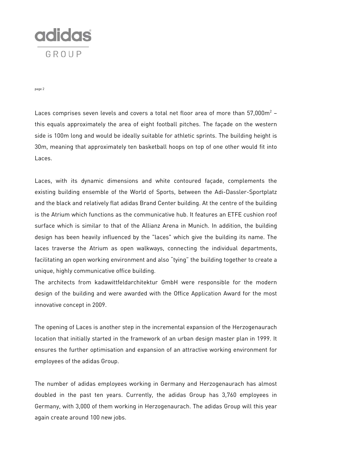

page 2

Laces comprises seven levels and covers a total net floor area of more than  $57,000$ m $^2$  – this equals approximately the area of eight football pitches. The façade on the western side is 100m long and would be ideally suitable for athletic sprints. The building height is 30m, meaning that approximately ten basketball hoops on top of one other would fit into Laces.

Laces, with its dynamic dimensions and white contoured façade, complements the existing building ensemble of the World of Sports, between the Adi-Dassler-Sportplatz and the black and relatively flat adidas Brand Center building. At the centre of the building is the Atrium which functions as the communicative hub. It features an ETFE cushion roof surface which is similar to that of the Allianz Arena in Munich. In addition, the building design has been heavily influenced by the "laces" which give the building its name. The laces traverse the Atrium as open walkways, connecting the individual departments, facilitating an open working environment and also "tying" the building together to create a unique, highly communicative office building.

The architects from kadawittfeldarchitektur GmbH were responsible for the modern design of the building and were awarded with the Office Application Award for the most innovative concept in 2009.

The opening of Laces is another step in the incremental expansion of the Herzogenaurach location that initially started in the framework of an urban design master plan in 1999. It ensures the further optimisation and expansion of an attractive working environment for employees of the adidas Group.

The number of adidas employees working in Germany and Herzogenaurach has almost doubled in the past ten years. Currently, the adidas Group has 3,760 employees in Germany, with 3,000 of them working in Herzogenaurach. The adidas Group will this year again create around 100 new jobs.